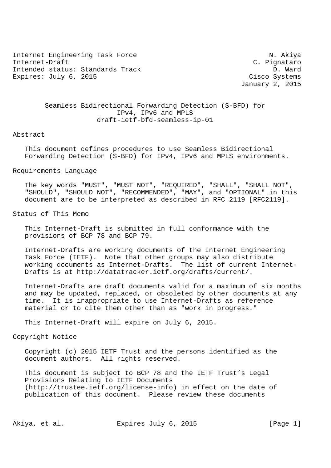Internet Engineering Task Force N. Akiya Internet-Draft C. Pignataro Intended status: Standards Track D. Ward Expires: July 6, 2015 Cisco Systems

January 2, 2015

# Seamless Bidirectional Forwarding Detection (S-BFD) for IPv4, IPv6 and MPLS draft-ietf-bfd-seamless-ip-01

## Abstract

 This document defines procedures to use Seamless Bidirectional Forwarding Detection (S-BFD) for IPv4, IPv6 and MPLS environments.

#### Requirements Language

 The key words "MUST", "MUST NOT", "REQUIRED", "SHALL", "SHALL NOT", "SHOULD", "SHOULD NOT", "RECOMMENDED", "MAY", and "OPTIONAL" in this document are to be interpreted as described in RFC 2119 [RFC2119].

## Status of This Memo

 This Internet-Draft is submitted in full conformance with the provisions of BCP 78 and BCP 79.

 Internet-Drafts are working documents of the Internet Engineering Task Force (IETF). Note that other groups may also distribute working documents as Internet-Drafts. The list of current Internet- Drafts is at http://datatracker.ietf.org/drafts/current/.

 Internet-Drafts are draft documents valid for a maximum of six months and may be updated, replaced, or obsoleted by other documents at any time. It is inappropriate to use Internet-Drafts as reference material or to cite them other than as "work in progress."

This Internet-Draft will expire on July 6, 2015.

# Copyright Notice

 Copyright (c) 2015 IETF Trust and the persons identified as the document authors. All rights reserved.

 This document is subject to BCP 78 and the IETF Trust's Legal Provisions Relating to IETF Documents (http://trustee.ietf.org/license-info) in effect on the date of publication of this document. Please review these documents

Akiya, et al. Expires July 6, 2015 [Page 1]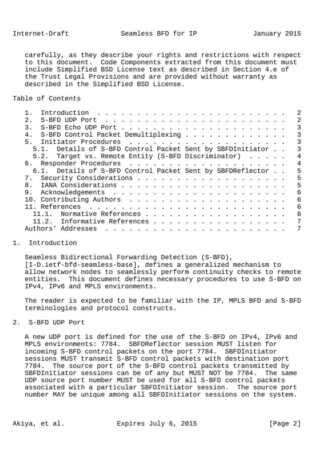carefully, as they describe your rights and restrictions with respect to this document. Code Components extracted from this document must include Simplified BSD License text as described in Section 4.e of the Trust Legal Provisions and are provided without warranty as described in the Simplified BSD License.

## Table of Contents

| 2.            |       |                                                            |  |  |  |  |  |  |  |  |  |  |   |
|---------------|-------|------------------------------------------------------------|--|--|--|--|--|--|--|--|--|--|---|
| $\mathcal{R}$ |       |                                                            |  |  |  |  |  |  |  |  |  |  | 3 |
| 4.            |       | S-BFD Control Packet Demultiplexing                        |  |  |  |  |  |  |  |  |  |  |   |
|               |       |                                                            |  |  |  |  |  |  |  |  |  |  |   |
|               |       | 5.1. Details of S-BFD Control Packet Sent by SBFDInitiator |  |  |  |  |  |  |  |  |  |  |   |
|               |       | 5.2. Target vs. Remote Entity (S-BFD Discriminator)        |  |  |  |  |  |  |  |  |  |  | 4 |
| ნ.            |       |                                                            |  |  |  |  |  |  |  |  |  |  | 4 |
|               |       | 6.1. Details of S-BFD Control Packet Sent by SBFDReflector |  |  |  |  |  |  |  |  |  |  | 5 |
|               |       |                                                            |  |  |  |  |  |  |  |  |  |  | 5 |
| 8.            |       |                                                            |  |  |  |  |  |  |  |  |  |  | 5 |
|               |       |                                                            |  |  |  |  |  |  |  |  |  |  | 6 |
|               |       |                                                            |  |  |  |  |  |  |  |  |  |  | 6 |
|               |       |                                                            |  |  |  |  |  |  |  |  |  |  | 6 |
|               | 11.1. | Normative References                                       |  |  |  |  |  |  |  |  |  |  | 6 |
|               |       | 11.2. Informative References                               |  |  |  |  |  |  |  |  |  |  |   |
|               |       | Authors' Addresses                                         |  |  |  |  |  |  |  |  |  |  |   |
|               |       |                                                            |  |  |  |  |  |  |  |  |  |  |   |

# 1. Introduction

 Seamless Bidirectional Forwarding Detection (S-BFD), [I-D.ietf-bfd-seamless-base], defines a generalized mechanism to allow network nodes to seamlessly perform continuity checks to remote entities. This document defines necessary procedures to use S-BFD on IPv4, IPv6 and MPLS environments.

 The reader is expected to be familiar with the IP, MPLS BFD and S-BFD terminologies and protocol constructs.

# 2. S-BFD UDP Port

 A new UDP port is defined for the use of the S-BFD on IPv4, IPv6 and MPLS environments: 7784. SBFDReflector session MUST listen for incoming S-BFD control packets on the port 7784. SBFDInitiator sessions MUST transmit S-BFD control packets with destination port 7784. The source port of the S-BFD control packets transmitted by SBFDInitiator sessions can be of any but MUST NOT be 7784. The same UDP source port number MUST be used for all S-BFD control packets associated with a particular SBFDInitiator session. The source port number MAY be unique among all SBFDInitiator sessions on the system.

Akiya, et al. Expires July 6, 2015 [Page 2]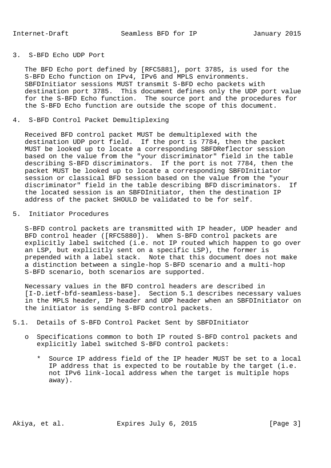## 3. S-BFD Echo UDP Port

 The BFD Echo port defined by [RFC5881], port 3785, is used for the S-BFD Echo function on IPv4, IPv6 and MPLS environments. SBFDInitiator sessions MUST transmit S-BFD echo packets with destination port 3785. This document defines only the UDP port value for the S-BFD Echo function. The source port and the procedures for the S-BFD Echo function are outside the scope of this document.

4. S-BFD Control Packet Demultiplexing

 Received BFD control packet MUST be demultiplexed with the destination UDP port field. If the port is 7784, then the packet MUST be looked up to locate a corresponding SBFDReflector session based on the value from the "your discriminator" field in the table describing S-BFD discriminators. If the port is not 7784, then the packet MUST be looked up to locate a corresponding SBFDInitiator session or classical BFD session based on the value from the "your discriminator" field in the table describing BFD discriminators. If the located session is an SBFDInitiator, then the destination IP address of the packet SHOULD be validated to be for self.

5. Initiator Procedures

 S-BFD control packets are transmitted with IP header, UDP header and BFD control header ([RFC5880]). When S-BFD control packets are explicitly label switched (i.e. not IP routed which happen to go over an LSP, but explicitly sent on a specific LSP), the former is prepended with a label stack. Note that this document does not make a distinction between a single-hop S-BFD scenario and a multi-hop S-BFD scenario, both scenarios are supported.

 Necessary values in the BFD control headers are described in [I-D.ietf-bfd-seamless-base]. Section 5.1 describes necessary values in the MPLS header, IP header and UDP header when an SBFDInitiator on the initiator is sending S-BFD control packets.

- 5.1. Details of S-BFD Control Packet Sent by SBFDInitiator
	- o Specifications common to both IP routed S-BFD control packets and explicitly label switched S-BFD control packets:
		- \* Source IP address field of the IP header MUST be set to a local IP address that is expected to be routable by the target (i.e. not IPv6 link-local address when the target is multiple hops away).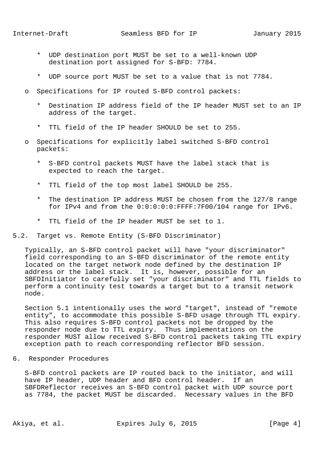- \* UDP destination port MUST be set to a well-known UDP destination port assigned for S-BFD: 7784.
- \* UDP source port MUST be set to a value that is not 7784.
- o Specifications for IP routed S-BFD control packets:
	- \* Destination IP address field of the IP header MUST set to an IP address of the target.
	- \* TTL field of the IP header SHOULD be set to 255.
- o Specifications for explicitly label switched S-BFD control packets:
	- S-BFD control packets MUST have the label stack that is expected to reach the target.
	- \* TTL field of the top most label SHOULD be 255.
	- \* The destination IP address MUST be chosen from the 127/8 range for IPv4 and from the 0:0:0:0:0:FFFF:7F00/104 range for IPv6.
	- \* TTL field of the IP header MUST be set to 1.
- 5.2. Target vs. Remote Entity (S-BFD Discriminator)

 Typically, an S-BFD control packet will have "your discriminator" field corresponding to an S-BFD discriminator of the remote entity located on the target network node defined by the destination IP address or the label stack. It is, however, possible for an SBFDInitiator to carefully set "your discriminator" and TTL fields to perform a continuity test towards a target but to a transit network node.

 Section 5.1 intentionally uses the word "target", instead of "remote entity", to accommodate this possible S-BFD usage through TTL expiry. This also requires S-BFD control packets not be dropped by the responder node due to TTL expiry. Thus implementations on the responder MUST allow received S-BFD control packets taking TTL expiry exception path to reach corresponding reflector BFD session.

6. Responder Procedures

 S-BFD control packets are IP routed back to the initiator, and will have IP header, UDP header and BFD control header. If an SBFDReflector receives an S-BFD control packet with UDP source port as 7784, the packet MUST be discarded. Necessary values in the BFD

Akiya, et al. Expires July 6, 2015 [Page 4]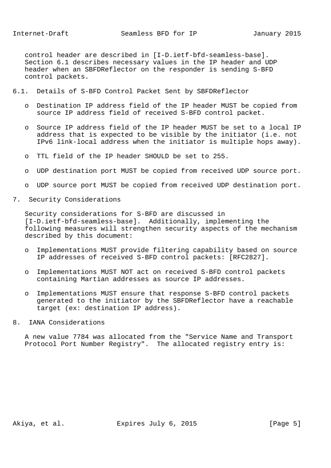control header are described in [I-D.ietf-bfd-seamless-base]. Section 6.1 describes necessary values in the IP header and UDP header when an SBFDReflector on the responder is sending S-BFD control packets.

- 6.1. Details of S-BFD Control Packet Sent by SBFDReflector
	- o Destination IP address field of the IP header MUST be copied from source IP address field of received S-BFD control packet.
	- o Source IP address field of the IP header MUST be set to a local IP address that is expected to be visible by the initiator (i.e. not IPv6 link-local address when the initiator is multiple hops away).
	- o TTL field of the IP header SHOULD be set to 255.
	- o UDP destination port MUST be copied from received UDP source port.
	- o UDP source port MUST be copied from received UDP destination port.
- 7. Security Considerations

 Security considerations for S-BFD are discussed in [I-D.ietf-bfd-seamless-base]. Additionally, implementing the following measures will strengthen security aspects of the mechanism described by this document:

- o Implementations MUST provide filtering capability based on source IP addresses of received S-BFD control packets: [RFC2827].
- o Implementations MUST NOT act on received S-BFD control packets containing Martian addresses as source IP addresses.
- o Implementations MUST ensure that response S-BFD control packets generated to the initiator by the SBFDReflector have a reachable target (ex: destination IP address).
- 8. IANA Considerations

 A new value 7784 was allocated from the "Service Name and Transport Protocol Port Number Registry". The allocated registry entry is: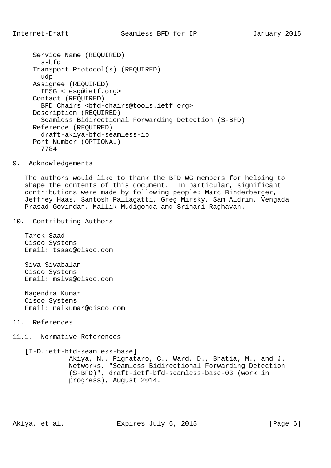```
 Service Name (REQUIRED)
  s-bfd
Transport Protocol(s) (REQUIRED)
 udp
Assignee (REQUIRED)
 IESG <iesg@ietf.org>
Contact (REQUIRED)
  BFD Chairs <bfd-chairs@tools.ietf.org>
Description (REQUIRED)
  Seamless Bidirectional Forwarding Detection (S-BFD)
Reference (REQUIRED)
  draft-akiya-bfd-seamless-ip
Port Number (OPTIONAL)
 7784
```
9. Acknowledgements

 The authors would like to thank the BFD WG members for helping to shape the contents of this document. In particular, significant contributions were made by following people: Marc Binderberger, Jeffrey Haas, Santosh Pallagatti, Greg Mirsky, Sam Aldrin, Vengada Prasad Govindan, Mallik Mudigonda and Srihari Raghavan.

10. Contributing Authors

 Tarek Saad Cisco Systems Email: tsaad@cisco.com

 Siva Sivabalan Cisco Systems Email: msiva@cisco.com

 Nagendra Kumar Cisco Systems Email: naikumar@cisco.com

- 11. References
- 11.1. Normative References

[I-D.ietf-bfd-seamless-base]

 Akiya, N., Pignataro, C., Ward, D., Bhatia, M., and J. Networks, "Seamless Bidirectional Forwarding Detection (S-BFD)", draft-ietf-bfd-seamless-base-03 (work in progress), August 2014.

Akiya, et al. Expires July 6, 2015 [Page 6]